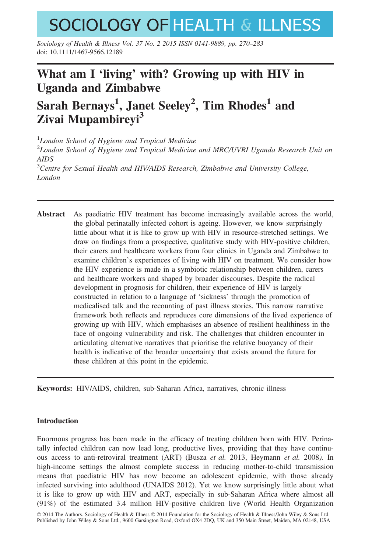# **SOCIOLOGY OF HEALTH & ILLNESS**

Sociology of Health & Illness Vol. 37 No. 2 2015 ISSN 0141-9889, pp. 270–283 doi: 10.1111/1467-9566.12189

# What am I 'living' with? Growing up with HIV in Uganda and Zimbabwe

# Sarah Bernays<sup>1</sup>, Janet Seeley<sup>2</sup>, Tim Rhodes<sup>1</sup> and Zivai Mupambireyi<sup>3</sup>

 $1$ London School of Hygiene and Tropical Medicine

 $2$ London School of Hygiene and Tropical Medicine and MRC/UVRI Uganda Research Unit on AIDS

 $3$ Centre for Sexual Health and HIV/AIDS Research, Zimbabwe and University College, London

Abstract As paediatric HIV treatment has become increasingly available across the world, the global perinatally infected cohort is ageing. However, we know surprisingly little about what it is like to grow up with HIV in resource-stretched settings. We draw on findings from a prospective, qualitative study with HIV-positive children, their carers and healthcare workers from four clinics in Uganda and Zimbabwe to examine children's experiences of living with HIV on treatment. We consider how the HIV experience is made in a symbiotic relationship between children, carers and healthcare workers and shaped by broader discourses. Despite the radical development in prognosis for children, their experience of HIV is largely constructed in relation to a language of 'sickness' through the promotion of medicalised talk and the recounting of past illness stories. This narrow narrative framework both reflects and reproduces core dimensions of the lived experience of growing up with HIV, which emphasises an absence of resilient healthiness in the face of ongoing vulnerability and risk. The challenges that children encounter in articulating alternative narratives that prioritise the relative buoyancy of their health is indicative of the broader uncertainty that exists around the future for these children at this point in the epidemic.

Keywords: HIV/AIDS, children, sub-Saharan Africa, narratives, chronic illness

# Introduction

Enormous progress has been made in the efficacy of treating children born with HIV. Perinatally infected children can now lead long, productive lives, providing that they have continuous access to anti-retroviral treatment (ART) (Busza et al. 2013, Heymann et al. 2008). In high-income settings the almost complete success in reducing mother-to-child transmission means that paediatric HIV has now become an adolescent epidemic, with those already infected surviving into adulthood (UNAIDS 2012). Yet we know surprisingly little about what it is like to grow up with HIV and ART, especially in sub-Saharan Africa where almost all (91%) of the estimated 3.4 million HIV-positive children live (World Health Organization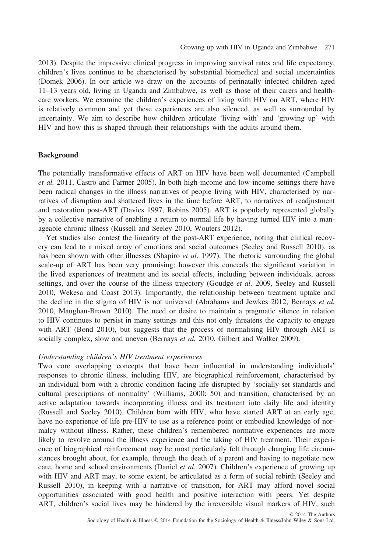2013). Despite the impressive clinical progress in improving survival rates and life expectancy, children's lives continue to be characterised by substantial biomedical and social uncertainties (Domek 2006). In our article we draw on the accounts of perinatally infected children aged 11–13 years old, living in Uganda and Zimbabwe, as well as those of their carers and healthcare workers. We examine the children's experiences of living with HIV on ART, where HIV is relatively common and yet these experiences are also silenced, as well as surrounded by uncertainty. We aim to describe how children articulate 'living with' and 'growing up' with HIV and how this is shaped through their relationships with the adults around them.

# Background

The potentially transformative effects of ART on HIV have been well documented (Campbell et al. 2011, Castro and Farmer 2005). In both high-income and low-income settings there have been radical changes in the illness narratives of people living with HIV, characterised by narratives of disruption and shattered lives in the time before ART, to narratives of readjustment and restoration post-ART (Davies 1997, Robins 2005). ART is popularly represented globally by a collective narrative of enabling a return to normal life by having turned HIV into a manageable chronic illness (Russell and Seeley 2010, Wouters 2012).

Yet studies also contest the linearity of the post-ART experience, noting that clinical recovery can lead to a mixed array of emotions and social outcomes (Seeley and Russell 2010), as has been shown with other illnesses (Shapiro *et al.* 1997). The rhetoric surrounding the global scale-up of ART has been very promising; however this conceals the significant variation in the lived experiences of treatment and its social effects, including between individuals, across settings, and over the course of the illness trajectory (Goudge et al. 2009, Seeley and Russell 2010, Wekesa and Coast 2013). Importantly, the relationship between treatment uptake and the decline in the stigma of HIV is not universal (Abrahams and Jewkes 2012, Bernays et al. 2010, Maughan-Brown 2010). The need or desire to maintain a pragmatic silence in relation to HIV continues to persist in many settings and this not only threatens the capacity to engage with ART (Bond 2010), but suggests that the process of normalising HIV through ART is socially complex, slow and uneven (Bernays *et al.* 2010, Gilbert and Walker 2009).

#### Understanding children's HIV treatment experiences

Two core overlapping concepts that have been influential in understanding individuals' responses to chronic illness, including HIV, are biographical reinforcement, characterised by an individual born with a chronic condition facing life disrupted by 'socially-set standards and cultural prescriptions of normality' (Williams, 2000: 50) and transition, characterised by an active adaptation towards incorporating illness and its treatment into daily life and identity (Russell and Seeley 2010). Children born with HIV, who have started ART at an early age, have no experience of life pre-HIV to use as a reference point or embodied knowledge of normalcy without illness. Rather, these children's remembered normative experiences are more likely to revolve around the illness experience and the taking of HIV treatment. Their experience of biographical reinforcement may be most particularly felt through changing life circumstances brought about, for example, through the death of a parent and having to negotiate new care, home and school environments (Daniel et al. 2007). Children's experience of growing up with HIV and ART may, to some extent, be articulated as a form of social rebirth (Seeley and Russell 2010), in keeping with a narrative of transition, for ART may afford novel social opportunities associated with good health and positive interaction with peers. Yet despite ART, children's social lives may be hindered by the irreversible visual markers of HIV, such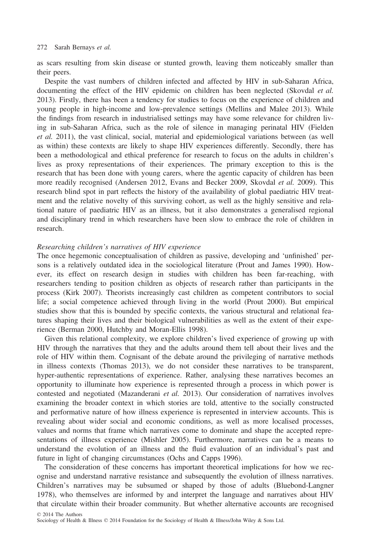as scars resulting from skin disease or stunted growth, leaving them noticeably smaller than their peers.

Despite the vast numbers of children infected and affected by HIV in sub-Saharan Africa, documenting the effect of the HIV epidemic on children has been neglected (Skovdal *et al.*) 2013). Firstly, there has been a tendency for studies to focus on the experience of children and young people in high-income and low-prevalence settings (Mellins and Malee 2013). While the findings from research in industrialised settings may have some relevance for children living in sub-Saharan Africa, such as the role of silence in managing perinatal HIV (Fielden et al. 2011), the vast clinical, social, material and epidemiological variations between (as well as within) these contexts are likely to shape HIV experiences differently. Secondly, there has been a methodological and ethical preference for research to focus on the adults in children's lives as proxy representations of their experiences. The primary exception to this is the research that has been done with young carers, where the agentic capacity of children has been more readily recognised (Andersen 2012, Evans and Becker 2009, Skovdal et al. 2009). This research blind spot in part reflects the history of the availability of global paediatric HIV treatment and the relative novelty of this surviving cohort, as well as the highly sensitive and relational nature of paediatric HIV as an illness, but it also demonstrates a generalised regional and disciplinary trend in which researchers have been slow to embrace the role of children in research.

#### Researching children's narratives of HIV experience

The once hegemonic conceptualisation of children as passive, developing and 'unfinished' persons is a relatively outdated idea in the sociological literature (Prout and James 1990). However, its effect on research design in studies with children has been far-reaching, with researchers tending to position children as objects of research rather than participants in the process (Kirk 2007). Theorists increasingly cast children as competent contributors to social life; a social competence achieved through living in the world (Prout 2000). But empirical studies show that this is bounded by specific contexts, the various structural and relational features shaping their lives and their biological vulnerabilities as well as the extent of their experience (Berman 2000, Hutchby and Moran-Ellis 1998).

Given this relational complexity, we explore children's lived experience of growing up with HIV through the narratives that they and the adults around them tell about their lives and the role of HIV within them. Cognisant of the debate around the privileging of narrative methods in illness contexts (Thomas 2013), we do not consider these narratives to be transparent, hyper-authentic representations of experience. Rather, analysing these narratives becomes an opportunity to illuminate how experience is represented through a process in which power is contested and negotiated (Mazanderani et al. 2013). Our consideration of narratives involves examining the broader context in which stories are told, attentive to the socially constructed and performative nature of how illness experience is represented in interview accounts. This is revealing about wider social and economic conditions, as well as more localised processes, values and norms that frame which narratives come to dominate and shape the accepted representations of illness experience (Mishler 2005). Furthermore, narratives can be a means to understand the evolution of an illness and the fluid evaluation of an individual's past and future in light of changing circumstances (Ochs and Capps 1996).

The consideration of these concerns has important theoretical implications for how we recognise and understand narrative resistance and subsequently the evolution of illness narratives. Children's narratives may be subsumed or shaped by those of adults (Bluebond-Langner 1978), who themselves are informed by and interpret the language and narratives about HIV that circulate within their broader community. But whether alternative accounts are recognised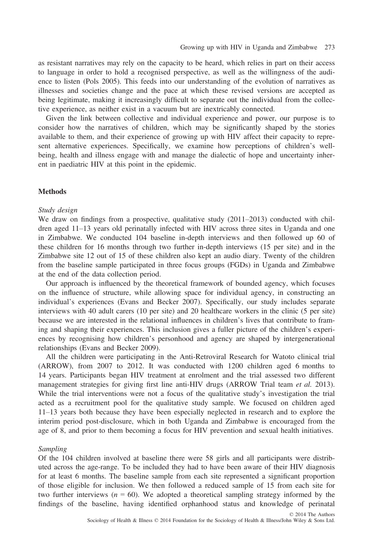as resistant narratives may rely on the capacity to be heard, which relies in part on their access to language in order to hold a recognised perspective, as well as the willingness of the audience to listen (Pols 2005). This feeds into our understanding of the evolution of narratives as illnesses and societies change and the pace at which these revised versions are accepted as being legitimate, making it increasingly difficult to separate out the individual from the collective experience, as neither exist in a vacuum but are inextricably connected.

Given the link between collective and individual experience and power, our purpose is to consider how the narratives of children, which may be significantly shaped by the stories available to them, and their experience of growing up with HIV affect their capacity to represent alternative experiences. Specifically, we examine how perceptions of children's wellbeing, health and illness engage with and manage the dialectic of hope and uncertainty inherent in paediatric HIV at this point in the epidemic.

# Methods

### Study design

We draw on findings from a prospective, qualitative study  $(2011–2013)$  conducted with children aged 11–13 years old perinatally infected with HIV across three sites in Uganda and one in Zimbabwe. We conducted 104 baseline in-depth interviews and then followed up 60 of these children for 16 months through two further in-depth interviews (15 per site) and in the Zimbabwe site 12 out of 15 of these children also kept an audio diary. Twenty of the children from the baseline sample participated in three focus groups (FGDs) in Uganda and Zimbabwe at the end of the data collection period.

Our approach is influenced by the theoretical framework of bounded agency, which focuses on the influence of structure, while allowing space for individual agency, in constructing an individual's experiences (Evans and Becker 2007). Specifically, our study includes separate interviews with 40 adult carers (10 per site) and 20 healthcare workers in the clinic (5 per site) because we are interested in the relational influences in children's lives that contribute to framing and shaping their experiences. This inclusion gives a fuller picture of the children's experiences by recognising how children's personhood and agency are shaped by intergenerational relationships (Evans and Becker 2009).

All the children were participating in the Anti-Retroviral Research for Watoto clinical trial (ARROW), from 2007 to 2012. It was conducted with 1200 children aged 6 months to 14 years. Participants began HIV treatment at enrolment and the trial assessed two different management strategies for giving first line anti-HIV drugs (ARROW Trial team *et al.* 2013). While the trial interventions were not a focus of the qualitative study's investigation the trial acted as a recruitment pool for the qualitative study sample. We focused on children aged 11–13 years both because they have been especially neglected in research and to explore the interim period post-disclosure, which in both Uganda and Zimbabwe is encouraged from the age of 8, and prior to them becoming a focus for HIV prevention and sexual health initiatives.

# Sampling

Of the 104 children involved at baseline there were 58 girls and all participants were distributed across the age-range. To be included they had to have been aware of their HIV diagnosis for at least 6 months. The baseline sample from each site represented a significant proportion of those eligible for inclusion. We then followed a reduced sample of 15 from each site for two further interviews ( $n = 60$ ). We adopted a theoretical sampling strategy informed by the findings of the baseline, having identified orphanhood status and knowledge of perinatal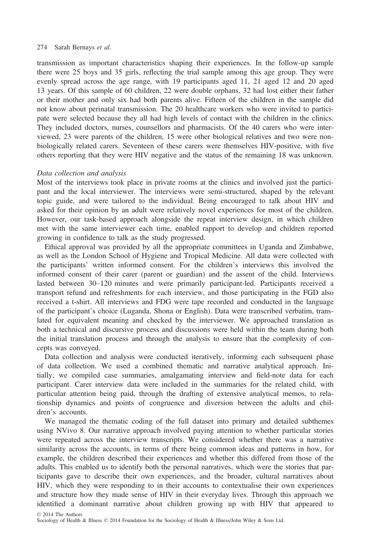#### 274 Sarah Bernays et al.

transmission as important characteristics shaping their experiences. In the follow-up sample there were 25 boys and 35 girls, reflecting the trial sample among this age group. They were evenly spread across the age range, with 19 participants aged 11, 21 aged 12 and 20 aged 13 years. Of this sample of 60 children, 22 were double orphans, 32 had lost either their father or their mother and only six had both parents alive. Fifteen of the children in the sample did not know about perinatal transmission. The 20 healthcare workers who were invited to participate were selected because they all had high levels of contact with the children in the clinics. They included doctors, nurses, counsellors and pharmacists. Of the 40 carers who were interviewed, 23 were parents of the children, 15 were other biological relatives and two were nonbiologically related carers. Seventeen of these carers were themselves HIV-positive, with five others reporting that they were HIV negative and the status of the remaining 18 was unknown.

# Data collection and analysis

Most of the interviews took place in private rooms at the clinics and involved just the participant and the local interviewer. The interviews were semi-structured, shaped by the relevant topic guide, and were tailored to the individual. Being encouraged to talk about HIV and asked for their opinion by an adult were relatively novel experiences for most of the children. However, our task-based approach alongside the repeat interview design, in which children met with the same interviewer each time, enabled rapport to develop and children reported growing in confidence to talk as the study progressed.

Ethical approval was provided by all the appropriate committees in Uganda and Zimbabwe, as well as the London School of Hygiene and Tropical Medicine. All data were collected with the participants' written informed consent. For the children's interviews this involved the informed consent of their carer (parent or guardian) and the assent of the child. Interviews lasted between 30–120 minutes and were primarily participant-led. Participants received a transport refund and refreshments for each interview, and those participating in the FGD also received a t-shirt. All interviews and FDG were tape recorded and conducted in the language of the participant's choice (Luganda, Shona or English). Data were transcribed verbatim, translated for equivalent meaning and checked by the interviewer. We approached translation as both a technical and discursive process and discussions were held within the team during both the initial translation process and through the analysis to ensure that the complexity of concepts was conveyed.

Data collection and analysis were conducted iteratively, informing each subsequent phase of data collection. We used a combined thematic and narrative analytical approach. Initially, we compiled case summaries, amalgamating interview and field-note data for each participant. Carer interview data were included in the summaries for the related child, with particular attention being paid, through the drafting of extensive analytical memos, to relationship dynamics and points of congruence and diversion between the adults and children's accounts.

We managed the thematic coding of the full dataset into primary and detailed subthemes using NVivo 8. Our narrative approach involved paying attention to whether particular stories were repeated across the interview transcripts. We considered whether there was a narrative similarity across the accounts, in terms of there being common ideas and patterns in how, for example, the children described their experiences and whether this differed from those of the adults. This enabled us to identify both the personal narratives, which were the stories that participants gave to describe their own experiences, and the broader, cultural narratives about HIV, which they were responding to in their accounts to contextualise their own experiences and structure how they made sense of HIV in their everyday lives. Through this approach we identified a dominant narrative about children growing up with HIV that appeared to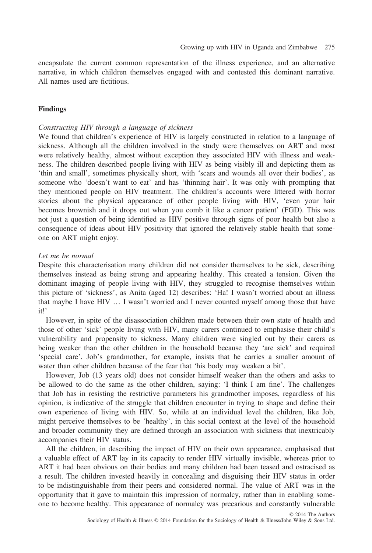encapsulate the current common representation of the illness experience, and an alternative narrative, in which children themselves engaged with and contested this dominant narrative. All names used are fictitious.

# Findings

# Constructing HIV through a language of sickness

We found that children's experience of HIV is largely constructed in relation to a language of sickness. Although all the children involved in the study were themselves on ART and most were relatively healthy, almost without exception they associated HIV with illness and weakness. The children described people living with HIV as being visibly ill and depicting them as 'thin and small', sometimes physically short, with 'scars and wounds all over their bodies', as someone who 'doesn't want to eat' and has 'thinning hair'. It was only with prompting that they mentioned people on HIV treatment. The children's accounts were littered with horror stories about the physical appearance of other people living with HIV, 'even your hair becomes brownish and it drops out when you comb it like a cancer patient' (FGD). This was not just a question of being identified as HIV positive through signs of poor health but also a consequence of ideas about HIV positivity that ignored the relatively stable health that someone on ART might enjoy.

# Let me be normal

Despite this characterisation many children did not consider themselves to be sick, describing themselves instead as being strong and appearing healthy. This created a tension. Given the dominant imaging of people living with HIV, they struggled to recognise themselves within this picture of 'sickness', as Anita (aged 12) describes: 'Ha! I wasn't worried about an illness that maybe I have HIV … I wasn't worried and I never counted myself among those that have it!'

However, in spite of the disassociation children made between their own state of health and those of other 'sick' people living with HIV, many carers continued to emphasise their child's vulnerability and propensity to sickness. Many children were singled out by their carers as being weaker than the other children in the household because they 'are sick' and required 'special care'. Job's grandmother, for example, insists that he carries a smaller amount of water than other children because of the fear that 'his body may weaken a bit'.

However, Job (13 years old) does not consider himself weaker than the others and asks to be allowed to do the same as the other children, saying: 'I think I am fine'. The challenges that Job has in resisting the restrictive parameters his grandmother imposes, regardless of his opinion, is indicative of the struggle that children encounter in trying to shape and define their own experience of living with HIV. So, while at an individual level the children, like Job, might perceive themselves to be 'healthy', in this social context at the level of the household and broader community they are defined through an association with sickness that inextricably accompanies their HIV status.

All the children, in describing the impact of HIV on their own appearance, emphasised that a valuable effect of ART lay in its capacity to render HIV virtually invisible, whereas prior to ART it had been obvious on their bodies and many children had been teased and ostracised as a result. The children invested heavily in concealing and disguising their HIV status in order to be indistinguishable from their peers and considered normal. The value of ART was in the opportunity that it gave to maintain this impression of normalcy, rather than in enabling someone to become healthy. This appearance of normalcy was precarious and constantly vulnerable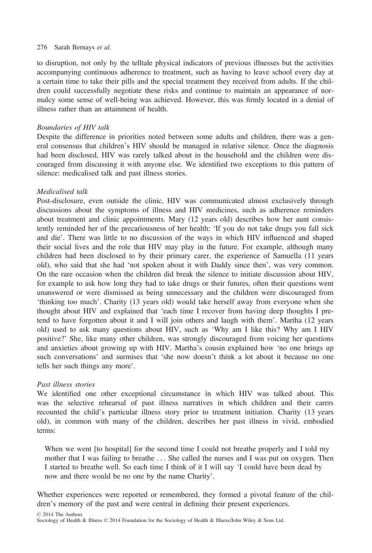# 276 Sarah Bernays et al.

to disruption, not only by the telltale physical indicators of previous illnesses but the activities accompanying continuous adherence to treatment, such as having to leave school every day at a certain time to take their pills and the special treatment they received from adults. If the children could successfully negotiate these risks and continue to maintain an appearance of normalcy some sense of well-being was achieved. However, this was firmly located in a denial of illness rather than an attainment of health.

# Boundaries of HIV talk

Despite the difference in priorities noted between some adults and children, there was a general consensus that children's HIV should be managed in relative silence. Once the diagnosis had been disclosed, HIV was rarely talked about in the household and the children were discouraged from discussing it with anyone else. We identified two exceptions to this pattern of silence: medicalised talk and past illness stories.

# Medicalised talk

Post-disclosure, even outside the clinic, HIV was communicated almost exclusively through discussions about the symptoms of illness and HIV medicines, such as adherence reminders about treatment and clinic appointments. Mary (12 years old) describes how her aunt consistently reminded her of the precariousness of her health: 'If you do not take drugs you fall sick and die'. There was little to no discussion of the ways in which HIV influenced and shaped their social lives and the role that HIV may play in the future. For example, although many children had been disclosed to by their primary carer, the experience of Samuella (11 years old), who said that she had 'not spoken about it with Daddy since then', was very common. On the rare occasion when the children did break the silence to initiate discussion about HIV, for example to ask how long they had to take drugs or their futures, often their questions went unanswered or were dismissed as being unnecessary and the children were discouraged from 'thinking too much'. Charity (13 years old) would take herself away from everyone when she thought about HIV and explained that 'each time I recover from having deep thoughts I pretend to have forgotten about it and I will join others and laugh with them'. Martha (12 years old) used to ask many questions about HIV, such as 'Why am I like this? Why am I HIV positive?' She, like many other children, was strongly discouraged from voicing her questions and anxieties about growing up with HIV. Martha's cousin explained how 'no one brings up such conversations' and surmises that 'she now doesn't think a lot about it because no one tells her such things any more'.

# Past illness stories

We identified one other exceptional circumstance in which HIV was talked about. This was the selective rehearsal of past illness narratives in which children and their carers recounted the child's particular illness story prior to treatment initiation. Charity (13 years old), in common with many of the children, describes her past illness in vivid, embodied terms:

When we went [to hospital] for the second time I could not breathe properly and I told my mother that I was failing to breathe ... She called the nurses and I was put on oxygen. Then I started to breathe well. So each time I think of it I will say 'I could have been dead by now and there would be no one by the name Charity'.

Whether experiences were reported or remembered, they formed a pivotal feature of the children's memory of the past and were central in defining their present experiences.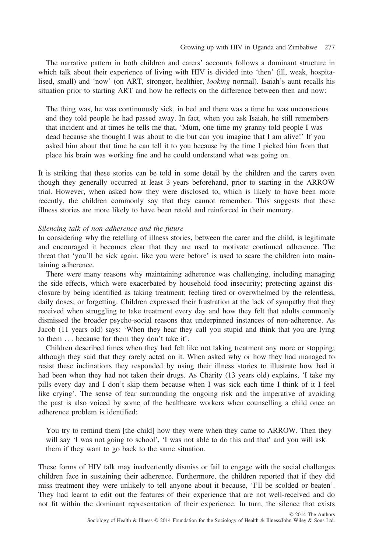The narrative pattern in both children and carers' accounts follows a dominant structure in which talk about their experience of living with HIV is divided into 'then' (ill, weak, hospitalised, small) and 'now' (on ART, stronger, healthier, looking normal). Isaiah's aunt recalls his situation prior to starting ART and how he reflects on the difference between then and now:

The thing was, he was continuously sick, in bed and there was a time he was unconscious and they told people he had passed away. In fact, when you ask Isaiah, he still remembers that incident and at times he tells me that, 'Mum, one time my granny told people I was dead because she thought I was about to die but can you imagine that I am alive!' If you asked him about that time he can tell it to you because by the time I picked him from that place his brain was working fine and he could understand what was going on.

It is striking that these stories can be told in some detail by the children and the carers even though they generally occurred at least 3 years beforehand, prior to starting in the ARROW trial. However, when asked how they were disclosed to, which is likely to have been more recently, the children commonly say that they cannot remember. This suggests that these illness stories are more likely to have been retold and reinforced in their memory.

#### Silencing talk of non-adherence and the future

In considering why the retelling of illness stories, between the carer and the child, is legitimate and encouraged it becomes clear that they are used to motivate continued adherence. The threat that 'you'll be sick again, like you were before' is used to scare the children into maintaining adherence.

There were many reasons why maintaining adherence was challenging, including managing the side effects, which were exacerbated by household food insecurity; protecting against disclosure by being identified as taking treatment; feeling tired or overwhelmed by the relentless, daily doses; or forgetting. Children expressed their frustration at the lack of sympathy that they received when struggling to take treatment every day and how they felt that adults commonly dismissed the broader psycho-social reasons that underpinned instances of non-adherence. As Jacob (11 years old) says: 'When they hear they call you stupid and think that you are lying to them ... because for them they don't take it'.

Children described times when they had felt like not taking treatment any more or stopping; although they said that they rarely acted on it. When asked why or how they had managed to resist these inclinations they responded by using their illness stories to illustrate how bad it had been when they had not taken their drugs. As Charity (13 years old) explains, 'I take my pills every day and I don't skip them because when I was sick each time I think of it I feel like crying'. The sense of fear surrounding the ongoing risk and the imperative of avoiding the past is also voiced by some of the healthcare workers when counselling a child once an adherence problem is identified:

You try to remind them [the child] how they were when they came to ARROW. Then they will say 'I was not going to school', 'I was not able to do this and that' and you will ask them if they want to go back to the same situation.

These forms of HIV talk may inadvertently dismiss or fail to engage with the social challenges children face in sustaining their adherence. Furthermore, the children reported that if they did miss treatment they were unlikely to tell anyone about it because, 'I'll be scolded or beaten'. They had learnt to edit out the features of their experience that are not well-received and do not fit within the dominant representation of their experience. In turn, the silence that exists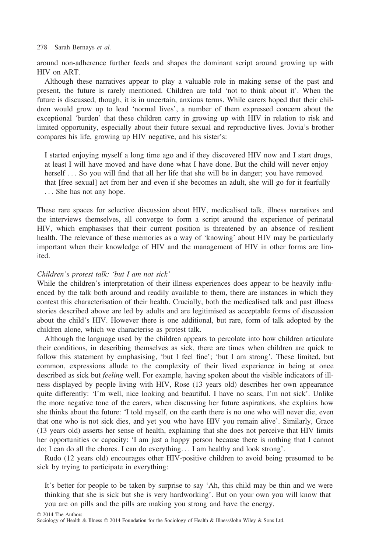#### 278 Sarah Bernays et al.

around non-adherence further feeds and shapes the dominant script around growing up with HIV on ART.

Although these narratives appear to play a valuable role in making sense of the past and present, the future is rarely mentioned. Children are told 'not to think about it'. When the future is discussed, though, it is in uncertain, anxious terms. While carers hoped that their children would grow up to lead 'normal lives', a number of them expressed concern about the exceptional 'burden' that these children carry in growing up with HIV in relation to risk and limited opportunity, especially about their future sexual and reproductive lives. Jovia's brother compares his life, growing up HIV negative, and his sister's:

I started enjoying myself a long time ago and if they discovered HIV now and I start drugs, at least I will have moved and have done what I have done. But the child will never enjoy herself ... So you will find that all her life that she will be in danger; you have removed that [free sexual] act from her and even if she becomes an adult, she will go for it fearfully ... She has not any hope.

These rare spaces for selective discussion about HIV, medicalised talk, illness narratives and the interviews themselves, all converge to form a script around the experience of perinatal HIV, which emphasises that their current position is threatened by an absence of resilient health. The relevance of these memories as a way of 'knowing' about HIV may be particularly important when their knowledge of HIV and the management of HIV in other forms are limited.

### Children's protest talk: 'but I am not sick'

While the children's interpretation of their illness experiences does appear to be heavily influenced by the talk both around and readily available to them, there are instances in which they contest this characterisation of their health. Crucially, both the medicalised talk and past illness stories described above are led by adults and are legitimised as acceptable forms of discussion about the child's HIV. However there is one additional, but rare, form of talk adopted by the children alone, which we characterise as protest talk.

Although the language used by the children appears to percolate into how children articulate their conditions, in describing themselves as sick, there are times when children are quick to follow this statement by emphasising, 'but I feel fine'; 'but I am strong'. These limited, but common, expressions allude to the complexity of their lived experience in being at once described as sick but feeling well. For example, having spoken about the visible indicators of illness displayed by people living with HIV, Rose (13 years old) describes her own appearance quite differently: 'I'm well, nice looking and beautiful. I have no scars, I'm not sick'. Unlike the more negative tone of the carers, when discussing her future aspirations, she explains how she thinks about the future: 'I told myself, on the earth there is no one who will never die, even that one who is not sick dies, and yet you who have HIV you remain alive'. Similarly, Grace (13 years old) asserts her sense of health, explaining that she does not perceive that HIV limits her opportunities or capacity: 'I am just a happy person because there is nothing that I cannot do; I can do all the chores. I can do everything... I am healthy and look strong'.

Rudo (12 years old) encourages other HIV-positive children to avoid being presumed to be sick by trying to participate in everything:

It's better for people to be taken by surprise to say 'Ah, this child may be thin and we were thinking that she is sick but she is very hardworking'. But on your own you will know that you are on pills and the pills are making you strong and have the energy.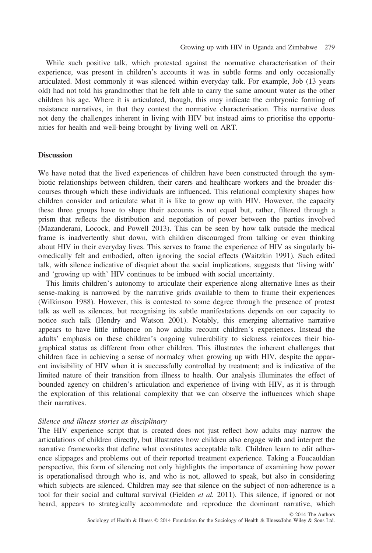While such positive talk, which protested against the normative characterisation of their experience, was present in children's accounts it was in subtle forms and only occasionally articulated. Most commonly it was silenced within everyday talk. For example, Job (13 years old) had not told his grandmother that he felt able to carry the same amount water as the other children his age. Where it is articulated, though, this may indicate the embryonic forming of resistance narratives, in that they contest the normative characterisation. This narrative does not deny the challenges inherent in living with HIV but instead aims to prioritise the opportunities for health and well-being brought by living well on ART.

### **Discussion**

We have noted that the lived experiences of children have been constructed through the symbiotic relationships between children, their carers and healthcare workers and the broader discourses through which these individuals are influenced. This relational complexity shapes how children consider and articulate what it is like to grow up with HIV. However, the capacity these three groups have to shape their accounts is not equal but, rather, filtered through a prism that reflects the distribution and negotiation of power between the parties involved (Mazanderani, Locock, and Powell 2013). This can be seen by how talk outside the medical frame is inadvertently shut down, with children discouraged from talking or even thinking about HIV in their everyday lives. This serves to frame the experience of HIV as singularly biomedically felt and embodied, often ignoring the social effects (Waitzkin 1991). Such edited talk, with silence indicative of disquiet about the social implications, suggests that 'living with' and 'growing up with' HIV continues to be imbued with social uncertainty.

This limits children's autonomy to articulate their experience along alternative lines as their sense-making is narrowed by the narrative grids available to them to frame their experiences (Wilkinson 1988). However, this is contested to some degree through the presence of protest talk as well as silences, but recognising its subtle manifestations depends on our capacity to notice such talk (Hendry and Watson 2001). Notably, this emerging alternative narrative appears to have little influence on how adults recount children's experiences. Instead the adults' emphasis on these children's ongoing vulnerability to sickness reinforces their biographical status as different from other children. This illustrates the inherent challenges that children face in achieving a sense of normalcy when growing up with HIV, despite the apparent invisibility of HIV when it is successfully controlled by treatment; and is indicative of the limited nature of their transition from illness to health. Our analysis illuminates the effect of bounded agency on children's articulation and experience of living with HIV, as it is through the exploration of this relational complexity that we can observe the influences which shape their narratives.

### Silence and illness stories as disciplinary

The HIV experience script that is created does not just reflect how adults may narrow the articulations of children directly, but illustrates how children also engage with and interpret the narrative frameworks that define what constitutes acceptable talk. Children learn to edit adherence slippages and problems out of their reported treatment experience. Taking a Foucauldian perspective, this form of silencing not only highlights the importance of examining how power is operationalised through who is, and who is not, allowed to speak, but also in considering which subjects are silenced. Children may see that silence on the subject of non-adherence is a tool for their social and cultural survival (Fielden *et al.* 2011). This silence, if ignored or not heard, appears to strategically accommodate and reproduce the dominant narrative, which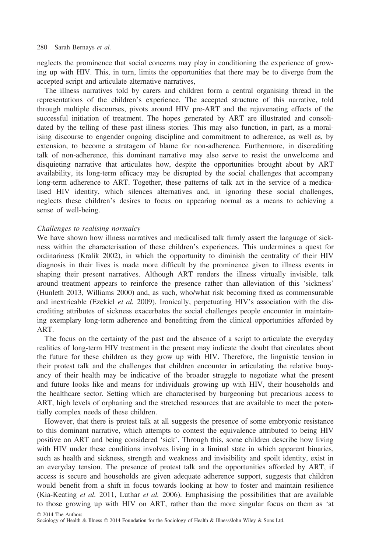neglects the prominence that social concerns may play in conditioning the experience of growing up with HIV. This, in turn, limits the opportunities that there may be to diverge from the accepted script and articulate alternative narratives,

The illness narratives told by carers and children form a central organising thread in the representations of the children's experience. The accepted structure of this narrative, told through multiple discourses, pivots around HIV pre-ART and the rejuvenating effects of the successful initiation of treatment. The hopes generated by ART are illustrated and consolidated by the telling of these past illness stories. This may also function, in part, as a moralising discourse to engender ongoing discipline and commitment to adherence, as well as, by extension, to become a stratagem of blame for non-adherence. Furthermore, in discrediting talk of non-adherence, this dominant narrative may also serve to resist the unwelcome and disquieting narrative that articulates how, despite the opportunities brought about by ART availability, its long-term efficacy may be disrupted by the social challenges that accompany long-term adherence to ART. Together, these patterns of talk act in the service of a medicalised HIV identity, which silences alternatives and, in ignoring these social challenges, neglects these children's desires to focus on appearing normal as a means to achieving a sense of well-being.

### Challenges to realising normalcy

We have shown how illness narratives and medicalised talk firmly assert the language of sickness within the characterisation of these children's experiences. This undermines a quest for ordinariness (Kralik 2002), in which the opportunity to diminish the centrality of their HIV diagnosis in their lives is made more difficult by the prominence given to illness events in shaping their present narratives. Although ART renders the illness virtually invisible, talk around treatment appears to reinforce the presence rather than alleviation of this 'sickness' (Hunleth 2013, Williams 2000) and, as such, who/what risk becoming fixed as commensurable and inextricable (Ezekiel et al. 2009). Ironically, perpetuating HIV's association with the discrediting attributes of sickness exacerbates the social challenges people encounter in maintaining exemplary long-term adherence and benefitting from the clinical opportunities afforded by ART.

The focus on the certainty of the past and the absence of a script to articulate the everyday realities of long-term HIV treatment in the present may indicate the doubt that circulates about the future for these children as they grow up with HIV. Therefore, the linguistic tension in their protest talk and the challenges that children encounter in articulating the relative buoyancy of their health may be indicative of the broader struggle to negotiate what the present and future looks like and means for individuals growing up with HIV, their households and the healthcare sector. Setting which are characterised by burgeoning but precarious access to ART, high levels of orphaning and the stretched resources that are available to meet the potentially complex needs of these children.

However, that there is protest talk at all suggests the presence of some embryonic resistance to this dominant narrative, which attempts to contest the equivalence attributed to being HIV positive on ART and being considered 'sick'. Through this, some children describe how living with HIV under these conditions involves living in a liminal state in which apparent binaries, such as health and sickness, strength and weakness and invisibility and spoilt identity, exist in an everyday tension. The presence of protest talk and the opportunities afforded by ART, if access is secure and households are given adequate adherence support, suggests that children would benefit from a shift in focus towards looking at how to foster and maintain resilience (Kia-Keating et al. 2011, Luthar et al. 2006). Emphasising the possibilities that are available to those growing up with HIV on ART, rather than the more singular focus on them as 'at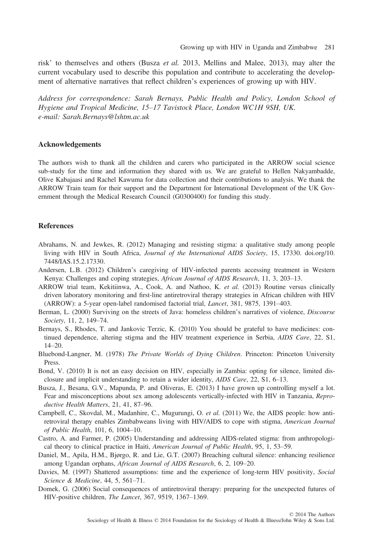risk' to themselves and others (Busza et al. 2013, Mellins and Malee, 2013), may alter the current vocabulary used to describe this population and contribute to accelerating the development of alternative narratives that reflect children's experiences of growing up with HIV.

Address for correspondence: Sarah Bernays, Public Health and Policy, London School of Hygiene and Tropical Medicine, 15–17 Tavistock Place, London WC1H 9SH, UK. e-mail: Sarah.Bernays@lshtm.ac.uk

# Acknowledgements

The authors wish to thank all the children and carers who participated in the ARROW social science sub-study for the time and information they shared with us. We are grateful to Hellen Nakyambadde, Olive Kabajaasi and Rachel Kawuma for data collection and their contributions to analysis. We thank the ARROW Train team for their support and the Department for International Development of the UK Government through the Medical Research Council (G0300400) for funding this study.

# References

- Abrahams, N. and Jewkes, R. (2012) Managing and resisting stigma: a qualitative study among people living with HIV in South Africa, Journal of the International AIDS Society, 15, 17330. doi.org/10. 7448/IAS.15.2.17330.
- Andersen, L.B. (2012) Children's caregiving of HIV-infected parents accessing treatment in Western Kenya: Challenges and coping strategies, African Journal of AIDS Research, 11, 3, 203–13.
- ARROW trial team, Kekitiinwa, A., Cook, A. and Nathoo, K. et al. (2013) Routine versus clinically driven laboratory monitoring and first-line antiretroviral therapy strategies in African children with HIV (ARROW): a 5-year open-label randomised factorial trial, Lancet, 381, 9875, 1391–403.
- Berman, L. (2000) Surviving on the streets of Java: homeless children's narratives of violence, Discourse Society, 11, 2, 149–74.
- Bernays, S., Rhodes, T. and Jankovic Terzic, K. (2010) You should be grateful to have medicines: continued dependence, altering stigma and the HIV treatment experience in Serbia, AIDS Care, 22, S1, 14–20.
- Bluebond-Langner, M. (1978) The Private Worlds of Dying Children. Princeton: Princeton University Press.
- Bond, V. (2010) It is not an easy decision on HIV, especially in Zambia: opting for silence, limited disclosure and implicit understanding to retain a wider identity, AIDS Care, 22, S1, 6–13.
- Busza, J., Besana, G.V., Mapunda, P. and Oliveras, E. (2013) I have grown up controlling myself a lot. Fear and misconceptions about sex among adolescents vertically-infected with HIV in Tanzania, Reproductive Health Matters, 21, 41, 87–96.
- Campbell, C., Skovdal, M., Madanhire, C., Mugurungi, O. et al. (2011) We, the AIDS people: how antiretroviral therapy enables Zimbabweans living with HIV/AIDS to cope with stigma, American Journal of Public Health, 101, 6, 1004–10.
- Castro, A. and Farmer, P. (2005) Understanding and addressing AIDS-related stigma: from anthropological theory to clinical practice in Haiti, American Journal of Public Health, 95, 1, 53–59.
- Daniel, M., Apila, H.M., Bjørgo, R. and Lie, G.T. (2007) Breaching cultural silence: enhancing resilience among Ugandan orphans, African Journal of AIDS Research, 6, 2, 109–20.
- Davies, M. (1997) Shattered assumptions: time and the experience of long-term HIV positivity, Social Science & Medicine, 44, 5, 561–71.
- Domek, G. (2006) Social consequences of antiretroviral therapy: preparing for the unexpected futures of HIV-positive children, The Lancet, 367, 9519, 1367–1369.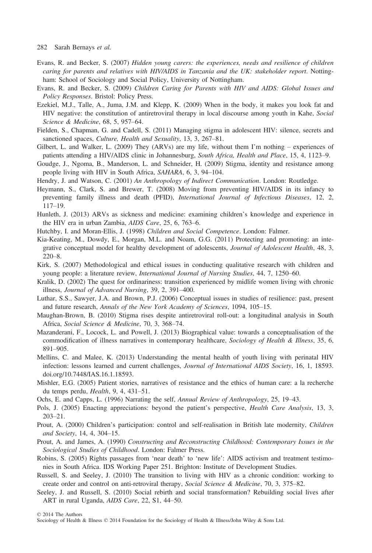- Evans, R. and Becker, S. (2007) Hidden young carers: the experiences, needs and resilience of children caring for parents and relatives with HIV/AIDS in Tanzania and the UK: stakeholder report. Nottingham: School of Sociology and Social Policy, University of Nottingham.
- Evans, R. and Becker, S. (2009) Children Caring for Parents with HIV and AIDS: Global Issues and Policy Responses. Bristol: Policy Press.
- Ezekiel, M.J., Talle, A., Juma, J.M. and Klepp, K. (2009) When in the body, it makes you look fat and HIV negative: the constitution of antiretroviral therapy in local discourse among youth in Kahe, Social Science & Medicine, 68, 5, 957–64.
- Fielden, S., Chapman, G. and Cadell, S. (2011) Managing stigma in adolescent HIV: silence, secrets and sanctioned spaces, Culture, Health and Sexuality, 13, 3, 267–81.
- Gilbert, L. and Walker, L. (2009) They (ARVs) are my life, without them I'm nothing experiences of patients attending a HIV/AIDS clinic in Johannesburg, South Africa, Health and Place, 15, 4, 1123–9.
- Goudge, J., Ngoma, B., Manderson, L. and Schneider, H. (2009) Stigma, identity and resistance among people living with HIV in South Africa, SAHARA, 6, 3, 94–104.
- Hendry, J. and Watson, C. (2001) An Anthropology of Indirect Communication. London: Routledge.
- Heymann, S., Clark, S. and Brewer, T. (2008) Moving from preventing HIV/AIDS in its infancy to preventing family illness and death (PFID), International Journal of Infectious Diseases, 12, 2, 117–19.
- Hunleth, J. (2013) ARVs as sickness and medicine: examining children's knowledge and experience in the HIV era in urban Zambia, AIDS Care, 25, 6, 763–6.
- Hutchby, I. and Moran-Ellis, J. (1998) Children and Social Competence. London: Falmer.
- Kia-Keating, M., Dowdy, E., Morgan, M.L. and Noam, G.G. (2011) Protecting and promoting: an integrative conceptual model for healthy development of adolescents, Journal of Adolescent Health, 48, 3, 220–8.
- Kirk, S. (2007) Methodological and ethical issues in conducting qualitative research with children and young people: a literature review, International Journal of Nursing Studies, 44, 7, 1250–60.
- Kralik, D. (2002) The quest for ordinariness: transition experienced by midlife women living with chronic illness, Journal of Advanced Nursing, 39, 2, 391–400.
- Luthar, S.S., Sawyer, J.A. and Brown, P.J. (2006) Conceptual issues in studies of resilience: past, present and future research, Annals of the New York Academy of Sciences, 1094, 105–15.
- Maughan-Brown, B. (2010) Stigma rises despite antiretroviral roll-out: a longitudinal analysis in South Africa, Social Science & Medicine, 70, 3, 368–74.
- Mazanderani, F., Locock, L. and Powell, J. (2013) Biographical value: towards a conceptualisation of the commodification of illness narratives in contemporary healthcare, Sociology of Health & Illness, 35, 6, 891–905.
- Mellins, C. and Malee, K. (2013) Understanding the mental health of youth living with perinatal HIV infection: lessons learned and current challenges, *Journal of International AIDS Society*, 16, 1, 18593. doi.org/10.7448/IAS.16.1.18593.
- Mishler, E.G. (2005) Patient stories, narratives of resistance and the ethics of human care: a la recherche du temps perdu, Health, 9, 4, 431–51.
- Ochs, E. and Capps, L. (1996) Narrating the self, Annual Review of Anthropology, 25, 19–43.
- Pols, J. (2005) Enacting appreciations: beyond the patient's perspective, Health Care Analysis, 13, 3, 203–21.
- Prout, A. (2000) Children's participation: control and self-realisation in British late modernity, Children and Society, 14, 4, 304–15.
- Prout, A. and James, A. (1990) Constructing and Reconstructing Childhood: Contemporary Issues in the Sociological Studies of Childhood. London: Falmer Press.
- Robins, S. (2005) Rights passages from 'near death' to 'new life': AIDS activism and treatment testimonies in South Africa. IDS Working Paper 251. Brighton: Institute of Development Studies.
- Russell, S. and Seeley, J. (2010) The transition to living with HIV as a chronic condition: working to create order and control on anti-retroviral therapy, Social Science & Medicine, 70, 3, 375–82.
- Seeley, J. and Russell, S. (2010) Social rebirth and social transformation? Rebuilding social lives after ART in rural Uganda, AIDS Care, 22, S1, 44–50.

© 2014 The Authors

Sociology of Health & Illness © 2014 Foundation for the Sociology of Health & Illness/John Wiley & Sons Ltd.